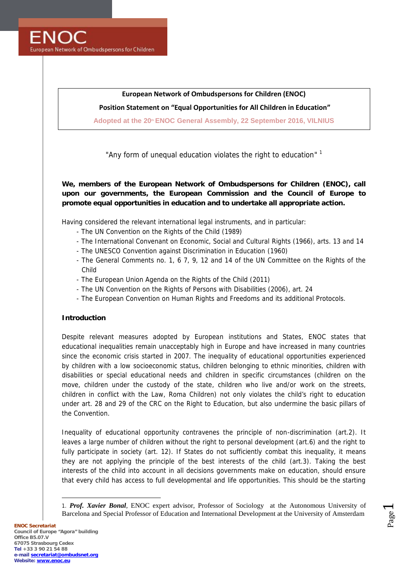**FNOC** European Network of Ombudspersons for Children

## **European Network of Ombudspersons for Children (ENOC)**

## **Position Statement on "Equal Opportunities for All Children in Education"**

**Adopted at the 20th ENOC General Assembly, 22 September 2016, VILNIUS**

*"Any form of unequal education violates the right to education"* 1

**We, members of the European Network of Ombudspersons for Children (ENOC), call upon our governments, the European Commission and the Council of Europe to promote equal opportunities in education and to undertake all appropriate action.**

Having considered the relevant international legal instruments, and in particular:

- The UN Convention on the Rights of the Child (1989)
- The International Convenant on Economic, Social and Cultural Rights (1966), arts. 13 and 14
- The UNESCO Convention against Discrimination in Education (1960)
- The General Comments no. 1, 6 7, 9, 12 and 14 of the UN Committee on the Rights of the Child
- The European Union Agenda on the Rights of the Child (2011)
- The UN Convention on the Rights of Persons with Disabilities (2006), art. 24
- The European Convention on Human Rights and Freedoms and its additional Protocols.

#### **Introduction**

Despite relevant measures adopted by European institutions and States, ENOC states that educational inequalities remain unacceptably high in Europe and have increased in many countries since the economic crisis started in 2007. The inequality of educational opportunities experienced by children with a low socioeconomic status, children belonging to ethnic minorities, children with disabilities or special educational needs and children in specific circumstances (children on the move, children under the custody of the state, children who live and/or work on the streets, children in conflict with the Law, Roma Children) not only violates the child's right to education under art. 28 and 29 of the CRC on the Right to Education, but also undermine the basic pillars of the Convention.

Inequality of educational opportunity contravenes the principle of non-discrimination (art.2). It leaves a large number of children without the right to personal development (art.6) and the right to fully participate in society (art. 12). If States do not sufficiently combat this inequality, it means they are not applying the principle of the best interests of the child (art.3). Taking the best interests of the child into account in all decisions governments make on education, should ensure that every child has access to full developmental and life opportunities. This should be the starting

Page  $\overline{\phantom{0}}$ 

<sup>1.</sup> *Prof. Xavier Bonal,* ENOC expert advisor, Professor of Sociology at the Autonomous University of Barcelona and Special Professor of Education and International Development at the University of Amsterdam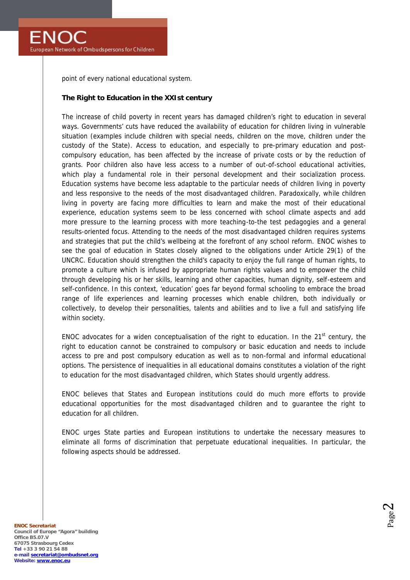point of every national educational system.

### **The Right to Education in the XXIst century**

The increase of child poverty in recent years has damaged children's right to education in several ways. Governments' cuts have reduced the availability of education for children living in vulnerable situation (examples include children with special needs, children on the move, children under the custody of the State). Access to education, and especially to pre-primary education and post compulsory education, has been affected by the increase of private costs or by the reduction of grants. Poor children also have less access to a number of out-of-school educational activities, which play a fundamental role in their personal development and their socialization process. Education systems have become less adaptable to the particular needs of children living in poverty and less responsive to the needs of the most disadvantaged children. Paradoxically, while children living in poverty are facing more difficulties to learn and make the most of their educational experience, education systems seem to be less concerned with school climate aspects and add more pressure to the learning process with more teaching-to-the test pedagogies and a general results-oriented focus. Attending to the needs of the most disadvantaged children requires systems and strategies that put the child's wellbeing at the forefront of any school reform. ENOC wishes to see the goal of education in States closely aligned to the obligations under Article 29(1) of the UNCRC. Education should strengthen the child's capacity to enjoy the full range of human rights, to promote a culture which is infused by appropriate human rights values and to empower the child through developing his or her skills, learning and other capacities, human dignity, self-esteem and self-confidence. In this context, 'education' goes far beyond formal schooling to embrace the broad range of life experiences and learning processes which enable children, both individually or collectively, to develop their personalities, talents and abilities and to live a full and satisfying life within society.

ENOC advocates for a widen conceptualisation of the right to education. In the  $21<sup>st</sup>$  century, the right to education cannot be constrained to compulsory or basic education and needs to include access to pre and post compulsory education as well as to non-formal and informal educational options. The persistence of inequalities in all educational domains constitutes a violation of the right to education for the most disadvantaged children, which States should urgently address.

ENOC believes that States and European institutions could do much more efforts to provide educational opportunities for the most disadvantaged children and to guarantee the right to education for all children.

ENOC urges State parties and European institutions to undertake the necessary measures to eliminate all forms of discrimination that perpetuate educational inequalities. In particular, the following aspects should be addressed.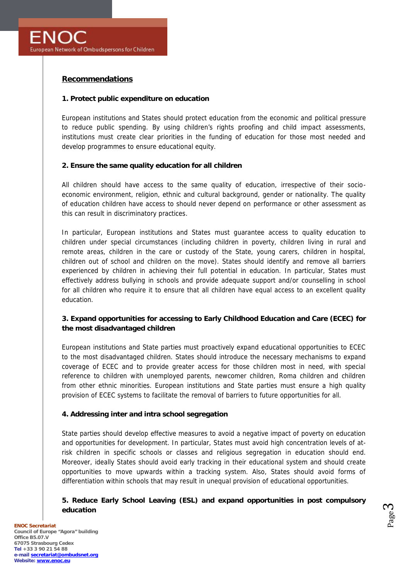# **Recommendations**

## **1. Protect public expenditure on education**

European institutions and States should protect education from the economic and political pressure to reduce public spending. By using children's rights proofing and child impact assessments, institutions must create clear priorities in the funding of education for those most needed and develop programmes to ensure educational equity.

## **2. Ensure the same quality education for all children**

All children should have access to the same quality of education, irrespective of their socio economic environment, religion, ethnic and cultural background, gender or nationality. The quality of education children have access to should never depend on performance or other assessment as this can result in discriminatory practices.

In particular, European institutions and States must guarantee access to quality education to children under special circumstances (including children in poverty, children living in rural and remote areas, children in the care or custody of the State, young carers, children in hospital, children out of school and children on the move). States should identify and remove all barriers experienced by children in achieving their full potential in education. In particular, States must effectively address bullying in schools and provide adequate support and/or counselling in school for all children who require it to ensure that all children have equal access to an excellent quality education.

**3. Expand opportunities for accessing to Early Childhood Education and Care (ECEC) for the most disadvantaged children**

European institutions and State parties must proactively expand educational opportunities to ECEC to the most disadvantaged children. States should introduce the necessary mechanisms to expand coverage of ECEC and to provide greater access for those children most in need, with special reference to children with unemployed parents, newcomer children, Roma children and children from other ethnic minorities. European institutions and State parties must ensure a high quality provision of ECEC systems to facilitate the removal of barriers to future opportunities for all.

## **4. Addressing inter and intra school segregation**

State parties should develop effective measures to avoid a negative impact of poverty on education and opportunities for development. In particular, States must avoid high concentration levels of atrisk children in specific schools or classes and religious segregation in education should end. Moreover, ideally States should avoid early tracking in their educational system and should create opportunities to move upwards within a tracking system. Also, States should avoid forms of differentiation within schools that may result in unequal provision of educational opportunities.

**5. Reduce Early School Leaving (ESL) and expand opportunities in post compulsory education**

Page  $\infty$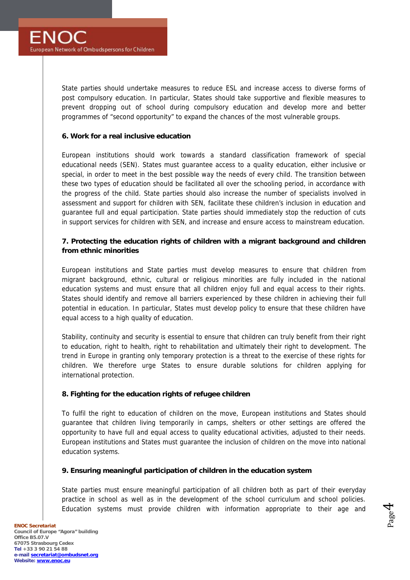State parties should undertake measures to reduce ESL and increase access to diverse forms of post compulsory education. In particular, States should take supportive and flexible measures to prevent dropping out of school during compulsory education and develop more and better programmes of "second opportunity" to expand the chances of the most vulnerable groups.

### **6. Work for a real inclusive education**

European institutions should work towards a standard classification framework of special educational needs (SEN). States must guarantee access to a quality education, either inclusive or special, in order to meet in the best possible way the needs of every child. The transition between these two types of education should be facilitated all over the schooling period, in accordance with the progress of the child. State parties should also increase the number of specialists involved in assessment and support for children with SEN, facilitate these children's inclusion in education and guarantee full and equal participation. State parties should immediately stop the reduction of cuts in support services for children with SEN, and increase and ensure access to mainstream education.

**7. Protecting the education rights of children with a migrant background and children from ethnic minorities**

European institutions and State parties must develop measures to ensure that children from migrant background, ethnic, cultural or religious minorities are fully included in the national education systems and must ensure that all children enjoy full and equal access to their rights. States should identify and remove all barriers experienced by these children in achieving their full potential in education. In particular, States must develop policy to ensure that these children have equal access to a high quality of education.

Stability, continuity and security is essential to ensure that children can truly benefit from their right to education, right to health, right to rehabilitation and ultimately their right to development. The trend in Europe in granting only temporary protection is a threat to the exercise of these rights for children. We therefore urge States to ensure durable solutions for children applying for international protection.

## **8. Fighting for the education rights of refugee children**

To fulfil the right to education of children on the move, European institutions and States should guarantee that children living temporarily in camps, shelters or other settings are offered the opportunity to have full and equal access to quality educational activities, adjusted to their needs. European institutions and States must guarantee the inclusion of children on the move into national education systems.

**9. Ensuring meaningful participation of children in the education system**

State parties must ensure meaningful participation of all children both as part of their everyday practice in school as well as in the development of the school curriculum and school policies. Education systems must provide children with information appropriate to their age and

Page 4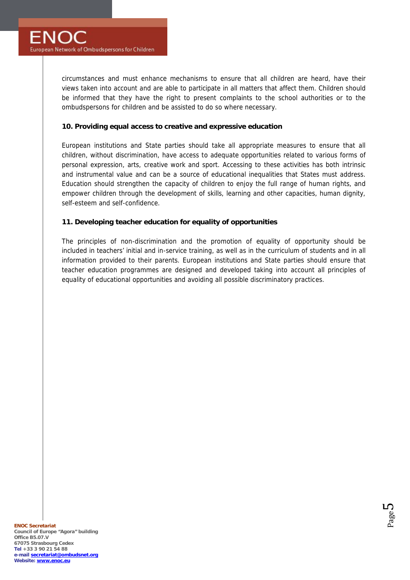circumstances and must enhance mechanisms to ensure that all children are heard, have their views taken into account and are able to participate in all matters that affect them. Children should be informed that they have the right to present complaints to the school authorities or to the ombudspersons for children and be assisted to do so where necessary.

## **10. Providing equal access to creative and expressive education**

European institutions and State parties should take all appropriate measures to ensure that all children, without discrimination, have access to adequate opportunities related to various forms of personal expression, arts, creative work and sport. Accessing to these activities has both intrinsic and instrumental value and can be a source of educational inequalities that States must address. Education should strengthen the capacity of children to enjoy the full range of human rights, and empower children through the development of skills, learning and other capacities, human dignity, self-esteem and self-confidence.

# **11. Developing teacher education for equality of opportunities**

The principles of non-discrimination and the promotion of equality of opportunity should be included in teachers' initial and in-service training, as well as in the curriculum of students and in all information provided to their parents. European institutions and State parties should ensure that teacher education programmes are designed and developed taking into account all principles of equality of educational opportunities and avoiding all possible discriminatory practices.

$$
\mathsf{Page}\, \mathsf{S}
$$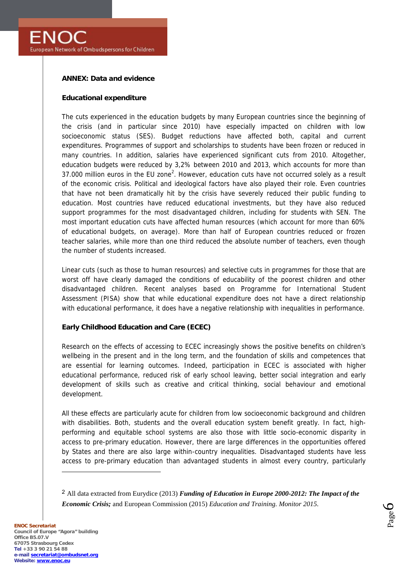**ANNEX: Data and evidence**

**Educational expenditure**

The cuts experienced in the education budgets by many European countries since the beginning of the crisis (and in particular since 2010) have especially impacted on children with low socioeconomic status (SES). Budget reductions have affected both, capital and current expenditures. Programmes of support and scholarships to students have been frozen or reduced in many countries. In addition, salaries have experienced significant cuts from 2010. Altogether, education budgets were reduced by 3,2% between 2010 and 2013, which accounts for more than 37.000 million euros in the EU zone<sup>2</sup>. However, education cuts have not occurred solely as a result of the economic crisis. Political and ideological factors have also played their role. Even countries that have not been dramatically hit by the crisis have severely reduced their public funding to education. Most countries have reduced educational investments, but they have also reduced support programmes for the most disadvantaged children, including for students with SEN. The most important education cuts have affected human resources (which account for more than 60% of educational budgets, on average). More than half of European countries reduced or frozen teacher salaries, while more than one third reduced the absolute number of teachers, even though the number of students increased.

Linear cuts (such as those to human resources) and selective cuts in programmes for those that are worst off have clearly damaged the conditions of educability of the poorest children and other disadvantaged children. Recent analyses based on Programme for International Student Assessment (PISA) show that while educational expenditure does not have a direct relationship with educational performance, it does have a negative relationship with inequalities in performance.

**Early Childhood Education and Care (ECEC)**

Research on the effects of accessing to ECEC increasingly shows the positive benefits on children's wellbeing in the present and in the long term, and the foundation of skills and competences that are essential for learning outcomes. Indeed, participation in ECEC is associated with higher educational performance, reduced risk of early school leaving, better social integration and early development of skills such as creative and critical thinking, social behaviour and emotional development.

All these effects are particularly acute for children from low socioeconomic background and children with disabilities. Both, students and the overall education system benefit greatly. In fact, high performing and equitable school systems are also those with little socio-economic disparity in access to pre-primary education. However, there are large differences in the opportunities offered by States and there are also large within-country inequalities. Disadvantaged students have less access to pre-primary education than advantaged students in almost every country, particularly

2 All data extracted from Eurydice (2013) *Funding of Education in Europe 2000-2012: The Impact of the Economic Crisis;* and European Commission (2015) *Education and Training. Monitor 2015*.

$$
\mathsf{Page}\hspace{-0.01cm} \boldsymbol{6}
$$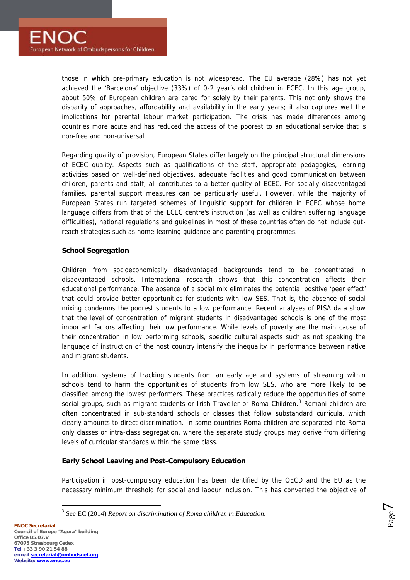those in which pre-primary education is not widespread. The EU average (28%) has not yet achieved the 'Barcelona' objective (33%) of 0-2 year's old children in ECEC. In this age group, about 50% of European children are cared for solely by their parents. This not only shows the disparity of approaches, affordability and availability in the early years; it also captures well the implications for parental labour market participation. The crisis has made differences among countries more acute and has reduced the access of the poorest to an educational service that is non-free and non-universal.

Regarding quality of provision, European States differ largely on the principal structural dimensions of ECEC quality. Aspects such as qualifications of the staff, appropriate pedagogies, learning activities based on well-defined objectives, adequate facilities and good communication between children, parents and staff, all contributes to a better quality of ECEC. For socially disadvantaged families, parental support measures can be particularly useful. However, while the majority of European States run targeted schemes of linguistic support for children in ECEC whose home language differs from that of the ECEC centre's instruction (as well as children suffering language difficulties), national regulations and guidelines in most of these countries often do not include outreach strategies such as home-learning guidance and parenting programmes.

## **School Segregation**

Children from socioeconomically disadvantaged backgrounds tend to be concentrated in disadvantaged schools. International research shows that this concentration affects their educational performance. The absence of a social mix eliminates the potential positive *'peer effect'* that could provide better opportunities for students with low SES. That is, the absence of social mixing condemns the poorest students to a low performance. Recent analyses of PISA data show that the level of concentration of migrant students in disadvantaged schools is one of the most important factors affecting their low performance. While levels of poverty are the main cause of their concentration in low performing schools, specific cultural aspects such as not speaking the language of instruction of the host country intensify the inequality in performance between native and migrant students.

In addition, systems of tracking students from an early age and systems of streaming within schools tend to harm the opportunities of students from low SES, who are more likely to be classified among the lowest performers. These practices radically reduce the opportunities of some social groups, such as migrant students or Irish Traveller or Roma Children.<sup>3</sup> Romani children are often concentrated in sub-standard schools or classes that follow substandard curricula, which clearly amounts to direct discrimination. In some countries Roma children are separated into Roma only classes or intra-class segregation, where the separate study groups may derive from differing levels of curricular standards within the same class.

**Early School Leaving and Post-Compulsory Education**

Participation in post-compulsory education has been identified by the OECD and the EU as the necessary minimum threshold for social and labour inclusion. This has converted the objective of

Page  $\overline{\phantom{a}}$ 

<sup>3</sup> See EC (2014) *Report on discrimination of Roma children in Education*.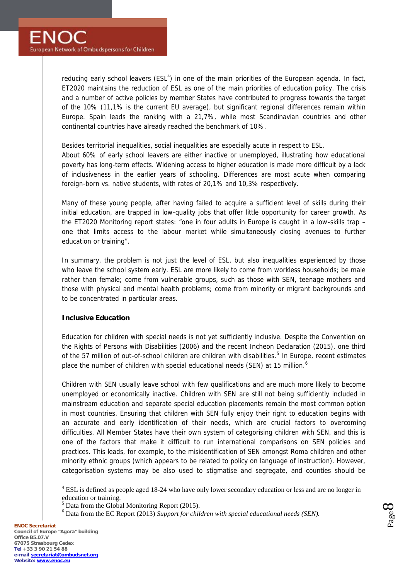reducing early school leavers ( $ESL<sup>4</sup>$ ) in one of the main priorities of the European agenda. In fact, ET2020 maintains the reduction of ESL as one of the main priorities of education policy. The crisis and a number of active policies by member States have contributed to progress towards the target of the 10% (11,1% is the current EU average), but significant regional differences remain within Europe. Spain leads the ranking with a 21,7%, while most Scandinavian countries and other continental countries have already reached the benchmark of 10%.

Besides territorial inequalities, social inequalities are especially acute in respect to ESL.

About 60% of early school leavers are either inactive or unemployed, illustrating how educational poverty has long-term effects. Widening access to higher education is made more difficult by a lack of inclusiveness in the earlier years of schooling. Differences are most acute when comparing foreign-born vs. native students, with rates of 20,1% and 10,3% respectively.

Many of these young people, after having failed to acquire a sufficient level of skills during their initial education, are trapped in low-quality jobs that offer little opportunity for career growth. As the ET2020 Monitoring report states: "one in four adults in Europe is caught in a low-skills trap – one that limits access to the labour market while simultaneously closing avenues to further education or training".

In summary, the problem is not just the level of ESL, but also inequalities experienced by those who leave the school system early. ESL are more likely to come from workless households; be male rather than female; come from vulnerable groups, such as those with SEN, teenage mothers and those with physical and mental health problems; come from minority or migrant backgrounds and to be concentrated in particular areas.

## **Inclusive Education**

Education for children with special needs is not yet sufficiently inclusive. Despite the Convention on the Rights of Persons with Disabilities (2006) and the recent Incheon Declaration (2015), one third of the 57 million of out-of-school children are children with disabilities.<sup>5</sup> In Europe, recent estimates place the number of children with special educational needs (SEN) at 15 million.<sup>6</sup>

Children with SEN usually leave school with few qualifications and are much more likely to become unemployed or economically inactive. Children with SEN are still not being sufficiently included in mainstream education and separate special education placements remain the most common option in most countries. Ensuring that children with SEN fully enjoy their right to education begins with an accurate and early identification of their needs, which are crucial factors to overcoming difficulties. All Member States have their own system of categorising children with SEN, and this is one of the factors that make it difficult to run international comparisons on SEN policies and practices. This leads, for example, to the misidentification of SEN amongst Roma children and other minority ethnic groups (which appears to be related to policy on language of instruction). However, categorisation systems may be also used to stigmatise and segregate, and counties should be

<sup>&</sup>lt;sup>4</sup> ESL is defined as people aged 18-24 who have only lower secondary education or less and are no longer in

education or training.<br><sup>5</sup> Data from the Global Monitoring Report (2015).<br><sup>6</sup> Data from the EC Report (2013) *Support for children with special educational needs (SEN)*.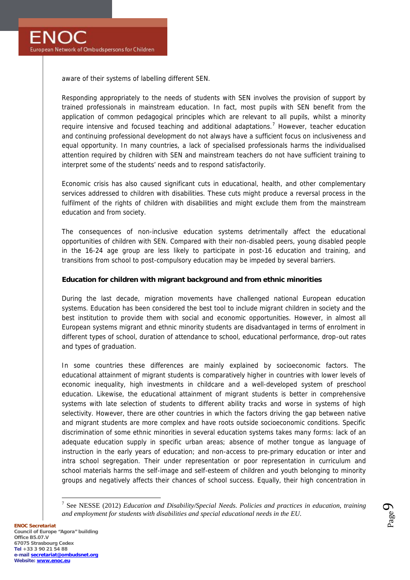aware of their systems of labelling different SEN.

Responding appropriately to the needs of students with SEN involves the provision of support by trained professionals in mainstream education. In fact, most pupils with SEN benefit from the application of common pedagogical principles which are relevant to all pupils, whilst a minority require intensive and focused teaching and additional adaptations.<sup>7</sup> However, teacher education and continuing professional development do not always have a sufficient focus on inclusiveness and equal opportunity. In many countries, a lack of specialised professionals harms the individualised attention required by children with SEN and mainstream teachers do not have sufficient training to interpret some of the students' needs and to respond satisfactorily.

Economic crisis has also caused significant cuts in educational, health, and other complementary services addressed to children with disabilities. These cuts might produce a reversal process in the fulfilment of the rights of children with disabilities and might exclude them from the mainstream education and from society.

The consequences of non-inclusive education systems detrimentally affect the educational opportunities of children with SEN. Compared with their non-disabled peers, young disabled people in the 16-24 age group are less likely to participate in post-16 education and training, and transitions from school to post-compulsory education may be impeded by several barriers.

**Education for children with migrant background and from ethnic minorities**

During the last decade, migration movements have challenged national European education systems. Education has been considered the best tool to include migrant children in society and the best institution to provide them with social and economic opportunities. However, in almost all European systems migrant and ethnic minority students are disadvantaged in terms of enrolment in different types of school, duration of attendance to school, educational performance, drop-out rates and types of graduation.

In some countries these differences are mainly explained by socioeconomic factors. The educational attainment of migrant students is comparatively higher in countries with lower levels of economic inequality, high investments in childcare and a well-developed system of preschool education. Likewise, the educational attainment of migrant students is better in comprehensive systems with late selection of students to different ability tracks and worse in systems of high selectivity. However, there are other countries in which the factors driving the gap between native and migrant students are more complex and have roots outside socioeconomic conditions. Specific discrimination of some ethnic minorities in several education systems takes many forms: lack of an adequate education supply in specific urban areas; absence of mother tongue as language of instruction in the early years of education; and non-access to pre-primary education or inter and intra school segregation. Their under representation or poor representation in curriculum and school materials harms the self-image and self-esteem of children and youth belonging to minority groups and negatively affects their chances of school success. Equally, their high concentration in

Page  $\sigma$ 

<sup>7</sup> See NESSE (2012) *Education and Disability/Special Needs*. *Policies and practices in education, training and employment for students with disabilities and special educational needs in the EU.*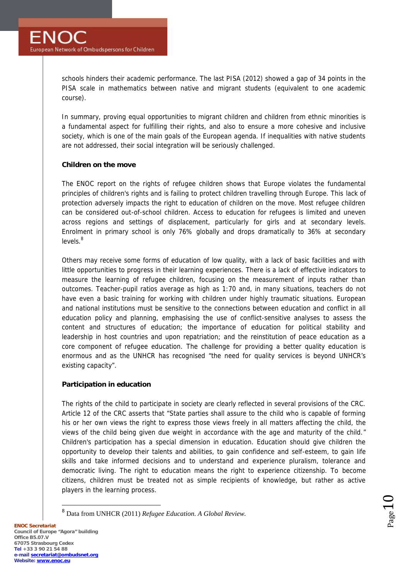schools hinders their academic performance. The last PISA (2012) showed a gap of 34 points in the PISA scale in mathematics between native and migrant students (equivalent to one academic course).

In summary, proving equal opportunities to migrant children and children from ethnic minorities is a fundamental aspect for fulfilling their rights, and also to ensure a more cohesive and inclusive society, which is one of the main goals of the European agenda. If inequalities with native students are not addressed, their social integration will be seriously challenged.

## **Children on the move**

The ENOC report on the rights of refugee children shows that Europe violates the fundamental principles of children's rights and is failing to protect children travelling through Europe. This lack of protection adversely impacts the right to education of children on the move. Most refugee children can be considered out-of-school children. Access to education for refugees is limited and uneven across regions and settings of displacement, particularly for girls and at secondary levels. Enrolment in primary school is only 76% globally and drops dramatically to 36% at secondary  $levels.<sup>8</sup>$ 

Others may receive some forms of education of low quality, with a lack of basic facilities and with little opportunities to progress in their learning experiences. There is a lack of effective indicators to measure the learning of refugee children, focusing on the measurement of inputs rather than outcomes. Teacher-pupil ratios average as high as 1:70 and, in many situations, teachers do not have even a basic training for working with children under highly traumatic situations. European and national institutions must be sensitive to the connections between education and conflict in all education policy and planning, emphasising the use of conflict-sensitive analyses to assess the content and structures of education; the importance of education for political stability and leadership in host countries and upon repatriation; and the reinstitution of peace education as a core component of refugee education. The challenge for providing a better quality education is enormous and as the UNHCR has recognised "the need for quality services is beyond UNHCR's existing capacity".

#### **Participation in education**

The rights of the child to participate in society are clearly reflected in several provisions of the CRC. Article 12 of the CRC asserts that "State parties shall assure to the child who is capable of forming his or her own views the right to express those views freely in all matters affecting the child, the views of the child being given due weight in accordance with the age and maturity of the child." Children's participation has a special dimension in education. Education should give children the opportunity to develop their talents and abilities, to gain confidence and self-esteem, to gain life skills and take informed decisions and to understand and experience pluralism, tolerance and democratic living. The right to education means the right to experience citizenship. To become citizens, children must be treated not as simple recipients of knowledge, but rather as active players in the learning process.

$$
_{\rm Page}10
$$

<sup>8</sup> Data from UNHCR (2011) *Refugee Education. A Global Review.*